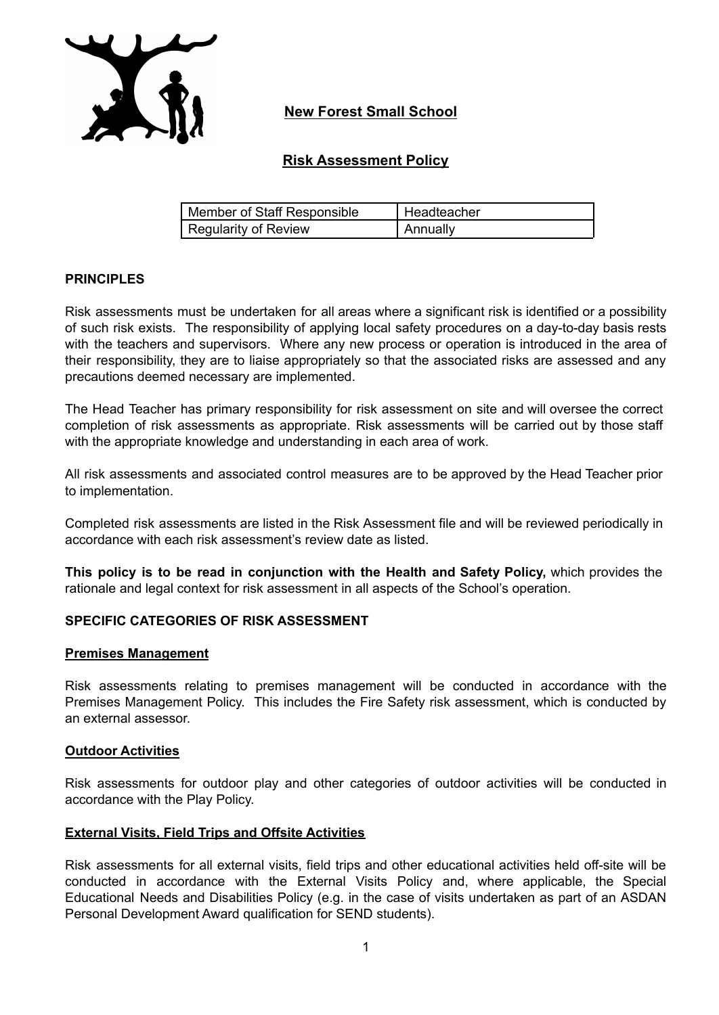

## **New Forest Small School**

## **Risk Assessment Policy**

| Member of Staff Responsible | Headteacher |
|-----------------------------|-------------|
| Regularity of Review        | Annuallv    |

### **PRINCIPLES**

Risk assessments must be undertaken for all areas where a significant risk is identified or a possibility of such risk exists. The responsibility of applying local safety procedures on a day-to-day basis rests with the teachers and supervisors. Where any new process or operation is introduced in the area of their responsibility, they are to liaise appropriately so that the associated risks are assessed and any precautions deemed necessary are implemented.

The Head Teacher has primary responsibility for risk assessment on site and will oversee the correct completion of risk assessments as appropriate. Risk assessments will be carried out by those staff with the appropriate knowledge and understanding in each area of work.

All risk assessments and associated control measures are to be approved by the Head Teacher prior to implementation.

Completed risk assessments are listed in the Risk Assessment file and will be reviewed periodically in accordance with each risk assessment's review date as listed.

**This policy is to be read in conjunction with the Health and Safety Policy,** which provides the rationale and legal context for risk assessment in all aspects of the School's operation.

#### **SPECIFIC CATEGORIES OF RISK ASSESSMENT**

#### **Premises Management**

Risk assessments relating to premises management will be conducted in accordance with the Premises Management Policy. This includes the Fire Safety risk assessment, which is conducted by an external assessor.

#### **Outdoor Activities**

Risk assessments for outdoor play and other categories of outdoor activities will be conducted in accordance with the Play Policy.

#### **External Visits, Field Trips and Offsite Activities**

Risk assessments for all external visits, field trips and other educational activities held off-site will be conducted in accordance with the External Visits Policy and, where applicable, the Special Educational Needs and Disabilities Policy (e.g. in the case of visits undertaken as part of an ASDAN Personal Development Award qualification for SEND students).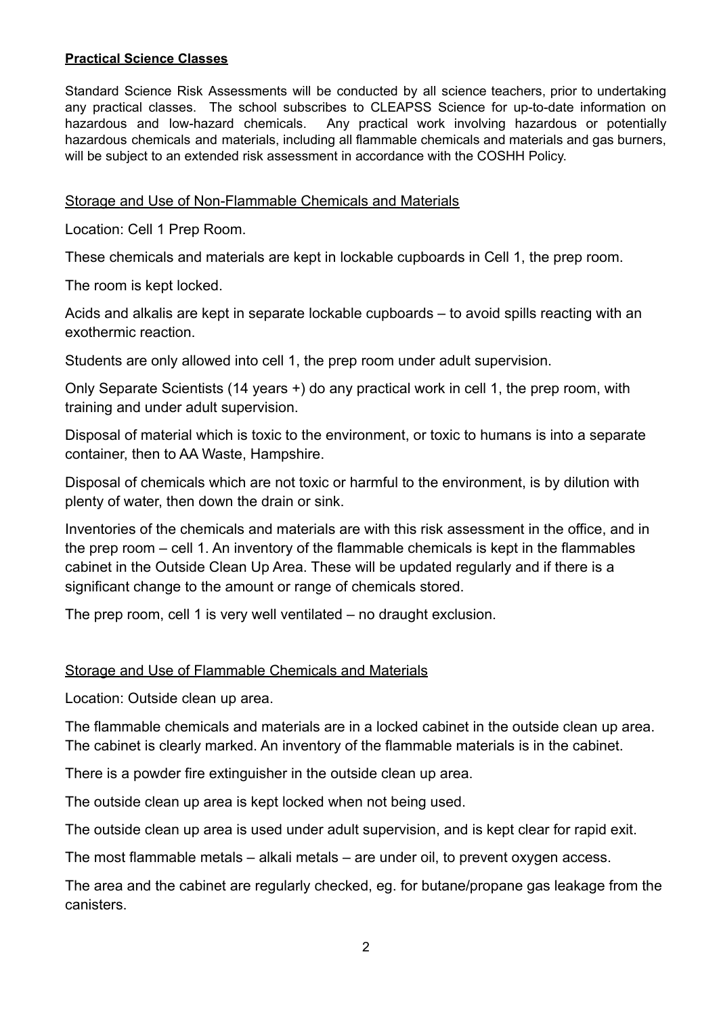## **Practical Science Classes**

Standard Science Risk Assessments will be conducted by all science teachers, prior to undertaking any practical classes. The school subscribes to CLEAPSS Science for up-to-date information on hazardous and low-hazard chemicals. Any practical work involving hazardous or potentially hazardous chemicals and materials, including all flammable chemicals and materials and gas burners, will be subject to an extended risk assessment in accordance with the COSHH Policy.

# Storage and Use of Non-Flammable Chemicals and Materials

Location: Cell 1 Prep Room.

These chemicals and materials are kept in lockable cupboards in Cell 1, the prep room.

The room is kept locked.

Acids and alkalis are kept in separate lockable cupboards – to avoid spills reacting with an exothermic reaction.

Students are only allowed into cell 1, the prep room under adult supervision.

Only Separate Scientists (14 years +) do any practical work in cell 1, the prep room, with training and under adult supervision.

Disposal of material which is toxic to the environment, or toxic to humans is into a separate container, then to AA Waste, Hampshire.

Disposal of chemicals which are not toxic or harmful to the environment, is by dilution with plenty of water, then down the drain or sink.

Inventories of the chemicals and materials are with this risk assessment in the office, and in the prep room – cell 1. An inventory of the flammable chemicals is kept in the flammables cabinet in the Outside Clean Up Area. These will be updated regularly and if there is a significant change to the amount or range of chemicals stored.

The prep room, cell 1 is very well ventilated – no draught exclusion.

## Storage and Use of Flammable Chemicals and Materials

Location: Outside clean up area.

The flammable chemicals and materials are in a locked cabinet in the outside clean up area. The cabinet is clearly marked. An inventory of the flammable materials is in the cabinet.

There is a powder fire extinguisher in the outside clean up area.

The outside clean up area is kept locked when not being used.

The outside clean up area is used under adult supervision, and is kept clear for rapid exit.

The most flammable metals – alkali metals – are under oil, to prevent oxygen access.

The area and the cabinet are regularly checked, eg. for butane/propane gas leakage from the canisters.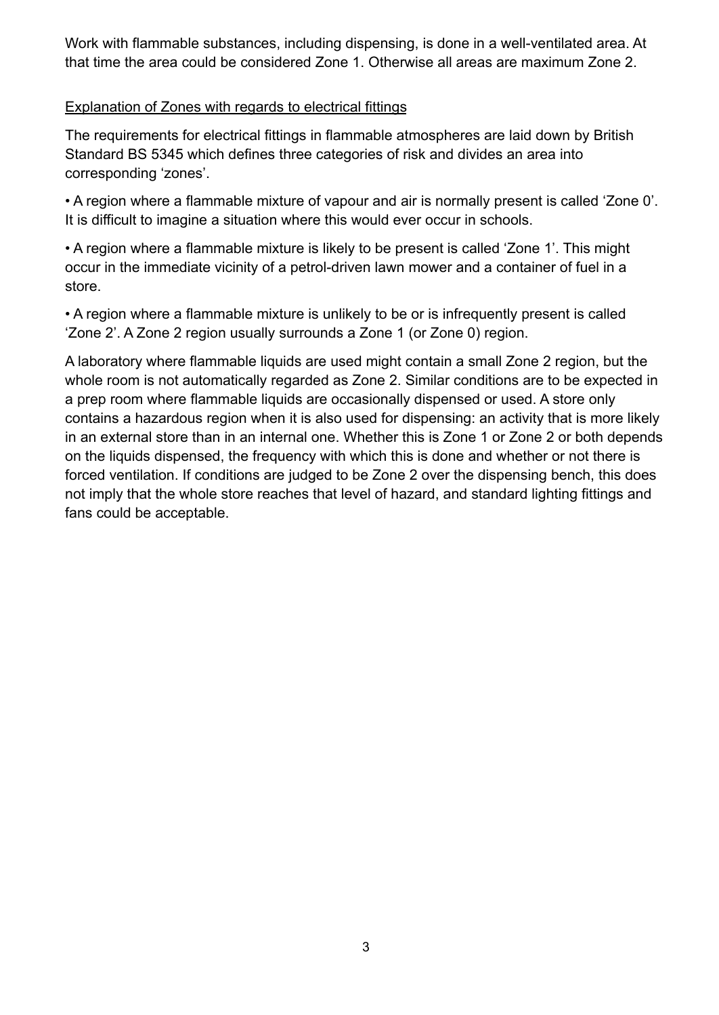Work with flammable substances, including dispensing, is done in a well-ventilated area. At that time the area could be considered Zone 1. Otherwise all areas are maximum Zone 2.

# Explanation of Zones with regards to electrical fittings

The requirements for electrical fittings in flammable atmospheres are laid down by British Standard BS 5345 which defines three categories of risk and divides an area into corresponding 'zones'.

• A region where a flammable mixture of vapour and air is normally present is called 'Zone 0'. It is difficult to imagine a situation where this would ever occur in schools.

• A region where a flammable mixture is likely to be present is called 'Zone 1'. This might occur in the immediate vicinity of a petrol-driven lawn mower and a container of fuel in a store.

• A region where a flammable mixture is unlikely to be or is infrequently present is called 'Zone 2'. A Zone 2 region usually surrounds a Zone 1 (or Zone 0) region.

A laboratory where flammable liquids are used might contain a small Zone 2 region, but the whole room is not automatically regarded as Zone 2. Similar conditions are to be expected in a prep room where flammable liquids are occasionally dispensed or used. A store only contains a hazardous region when it is also used for dispensing: an activity that is more likely in an external store than in an internal one. Whether this is Zone 1 or Zone 2 or both depends on the liquids dispensed, the frequency with which this is done and whether or not there is forced ventilation. If conditions are judged to be Zone 2 over the dispensing bench, this does not imply that the whole store reaches that level of hazard, and standard lighting fittings and fans could be acceptable.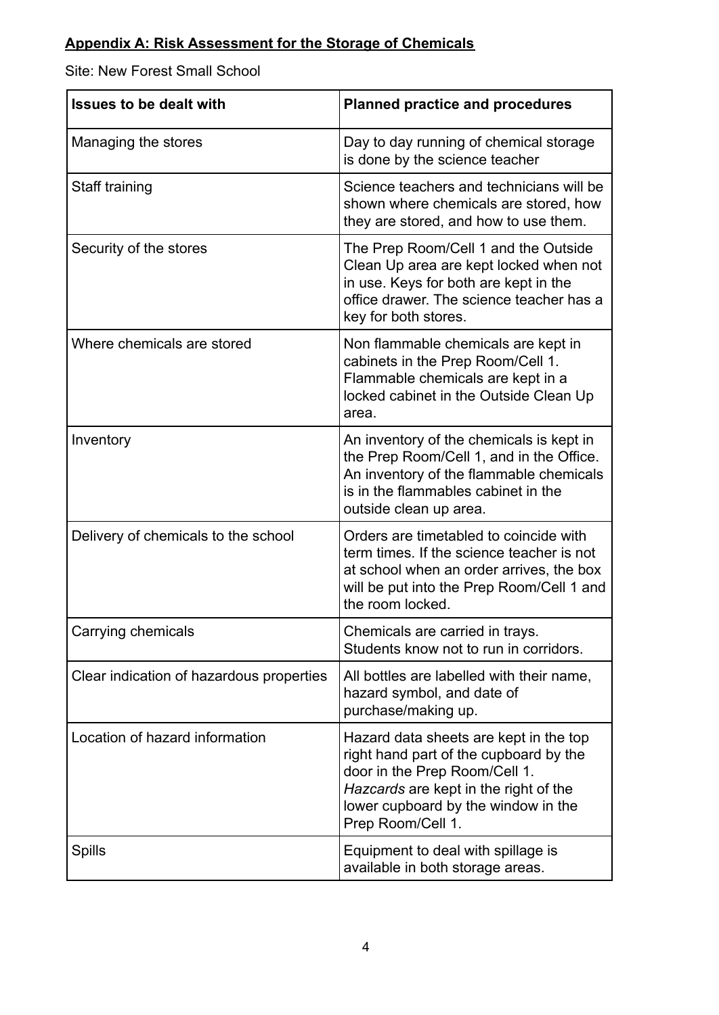# **Appendix A: Risk Assessment for the Storage of Chemicals**

Site: New Forest Small School

| <b>Issues to be dealt with</b>           | <b>Planned practice and procedures</b>                                                                                                                                                                                 |
|------------------------------------------|------------------------------------------------------------------------------------------------------------------------------------------------------------------------------------------------------------------------|
| Managing the stores                      | Day to day running of chemical storage<br>is done by the science teacher                                                                                                                                               |
| Staff training                           | Science teachers and technicians will be<br>shown where chemicals are stored, how<br>they are stored, and how to use them.                                                                                             |
| Security of the stores                   | The Prep Room/Cell 1 and the Outside<br>Clean Up area are kept locked when not<br>in use. Keys for both are kept in the<br>office drawer. The science teacher has a<br>key for both stores.                            |
| Where chemicals are stored               | Non flammable chemicals are kept in<br>cabinets in the Prep Room/Cell 1.<br>Flammable chemicals are kept in a<br>locked cabinet in the Outside Clean Up<br>area.                                                       |
| Inventory                                | An inventory of the chemicals is kept in<br>the Prep Room/Cell 1, and in the Office.<br>An inventory of the flammable chemicals<br>is in the flammables cabinet in the<br>outside clean up area.                       |
| Delivery of chemicals to the school      | Orders are timetabled to coincide with<br>term times. If the science teacher is not<br>at school when an order arrives, the box<br>will be put into the Prep Room/Cell 1 and<br>the room locked.                       |
| Carrying chemicals                       | Chemicals are carried in trays.<br>Students know not to run in corridors.                                                                                                                                              |
| Clear indication of hazardous properties | All bottles are labelled with their name,<br>hazard symbol, and date of<br>purchase/making up.                                                                                                                         |
| Location of hazard information           | Hazard data sheets are kept in the top<br>right hand part of the cupboard by the<br>door in the Prep Room/Cell 1.<br>Hazcards are kept in the right of the<br>lower cupboard by the window in the<br>Prep Room/Cell 1. |
| <b>Spills</b>                            | Equipment to deal with spillage is<br>available in both storage areas.                                                                                                                                                 |